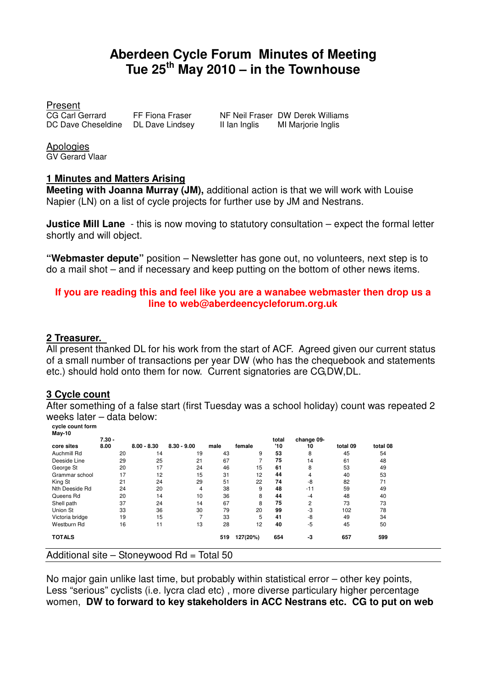# **Aberdeen Cycle Forum Minutes of Meeting Tue 25th May 2010 – in the Townhouse**

Present<br>CG Carl Gerrard DC Dave Cheseldine DL Dave Lindsey II Ian Inglis MI Marjorie Inglis

FF Fiona Fraser NF Neil Fraser DW Derek Williams

Apologies GV Gerard Vlaar

#### **1 Minutes and Matters Arising**

**Meeting with Joanna Murray (JM),** additional action is that we will work with Louise Napier (LN) on a list of cycle projects for further use by JM and Nestrans.

**Justice Mill Lane** - this is now moving to statutory consultation – expect the formal letter shortly and will object.

**"Webmaster depute"** position – Newsletter has gone out, no volunteers, next step is to do a mail shot – and if necessary and keep putting on the bottom of other news items.

#### **If you are reading this and feel like you are a wanabee webmaster then drop us a line to web@aberdeencycleforum.org.uk**

#### **2 Treasurer.**

All present thanked DL for his work from the start of ACF. Agreed given our current status of a small number of transactions per year DW (who has the chequebook and statements etc.) should hold onto them for now. Current signatories are CG,DW,DL.

#### **3 Cycle count**

After something of a false start (first Tuesday was a school holiday) count was repeated 2 weeks later – data below:

**cycle count form May-10** 

|                 | $7.30 -$ |               |               |      |          | total | change 09-     |          |          |  |
|-----------------|----------|---------------|---------------|------|----------|-------|----------------|----------|----------|--|
| core sites      | 8.00     | $8.00 - 8.30$ | $8.30 - 9.00$ | male | female   | '10   | 10             | total 09 | total 08 |  |
| Auchmill Rd     | 20       | 14            | 19            | 43   | 9        | 53    | 8              | 45       | 54       |  |
| Deeside Line    | 29       | 25            | 21            | 67   |          | 75    | 14             | 61       | 48       |  |
| George St       | 20       | 17            | 24            | 46   | 15       | 61    | 8              | 53       | 49       |  |
| Grammar school  | 17       | 12            | 15            | 31   | 12       | 44    | 4              | 40       | 53       |  |
| King St         | 21       | 24            | 29            | 51   | 22       | 74    | -8             | 82       | 71       |  |
| Nth Deeside Rd  | 24       | 20            | 4             | 38   | 9        | 48    | $-11$          | 59       | 49       |  |
| Queens Rd       | 20       | 14            | 10            | 36   | 8        | 44    | $-4$           | 48       | 40       |  |
| Shell path      | 37       | 24            | 14            | 67   | 8        | 75    | $\overline{2}$ | 73       | 73       |  |
| Union St        | 33       | 36            | 30            | 79   | 20       | 99    | -3             | 102      | 78       |  |
| Victoria bridge | 19       | 15            |               | 33   | 5        | 41    | -8             | 49       | 34       |  |
| Westburn Rd     | 16       | 11            | 13            | 28   | 12       | 40    | $-5$           | 45       | 50       |  |
| <b>TOTALS</b>   |          |               |               | 519  | 127(20%) | 654   | -3             | 657      | 599      |  |

No major gain unlike last time, but probably within statistical error – other key points, Less "serious" cyclists (i.e. lycra clad etc) , more diverse particulary higher percentage women, **DW to forward to key stakeholders in ACC Nestrans etc. CG to put on web**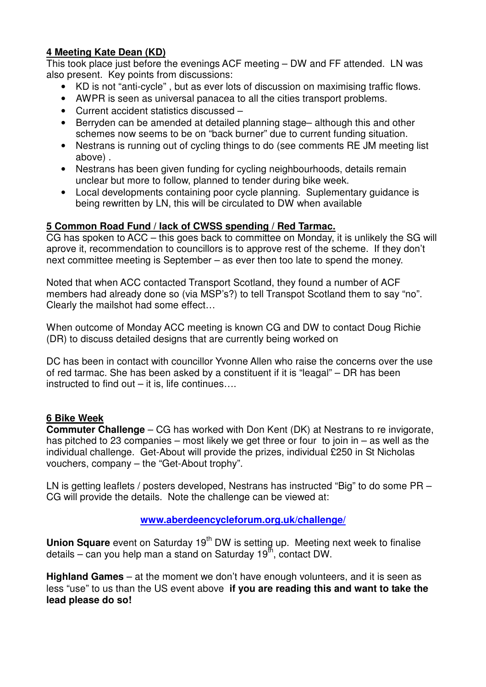# **4 Meeting Kate Dean (KD)**

This took place just before the evenings ACF meeting – DW and FF attended. LN was also present. Key points from discussions:

- KD is not "anti-cycle" , but as ever lots of discussion on maximising traffic flows.
- AWPR is seen as universal panacea to all the cities transport problems.
- Current accident statistics discussed –
- Berryden can be amended at detailed planning stage– although this and other schemes now seems to be on "back burner" due to current funding situation.
- Nestrans is running out of cycling things to do (see comments RE JM meeting list above) .
- Nestrans has been given funding for cycling neighbourhoods, details remain unclear but more to follow, planned to tender during bike week.
- Local developments containing poor cycle planning. Suplementary guidance is being rewritten by LN, this will be circulated to DW when available

# **5 Common Road Fund / lack of CWSS spending / Red Tarmac.**

CG has spoken to ACC – this goes back to committee on Monday, it is unlikely the SG will aprove it, recommendation to councillors is to approve rest of the scheme. If they don't next committee meeting is September – as ever then too late to spend the money.

Noted that when ACC contacted Transport Scotland, they found a number of ACF members had already done so (via MSP's?) to tell Transpot Scotland them to say "no". Clearly the mailshot had some effect…

When outcome of Monday ACC meeting is known CG and DW to contact Doug Richie (DR) to discuss detailed designs that are currently being worked on

DC has been in contact with councillor Yvonne Allen who raise the concerns over the use of red tarmac. She has been asked by a constituent if it is "leagal" – DR has been instructed to find out – it is, life continues….

### **6 Bike Week**

**Commuter Challenge** – CG has worked with Don Kent (DK) at Nestrans to re invigorate, has pitched to 23 companies – most likely we get three or four to join in – as well as the individual challenge. Get-About will provide the prizes, individual £250 in St Nicholas vouchers, company – the "Get-About trophy".

LN is getting leaflets / posters developed, Nestrans has instructed "Big" to do some PR – CG will provide the details. Note the challenge can be viewed at:

### **www.aberdeencycleforum.org.uk/challenge/**

**Union Square** event on Saturday 19<sup>th</sup> DW is setting up. Meeting next week to finalise details – can you help man a stand on Saturday 19 $<sup>th</sup>$ , contact DW.</sup>

**Highland Games** – at the moment we don't have enough volunteers, and it is seen as less "use" to us than the US event above **if you are reading this and want to take the lead please do so!**